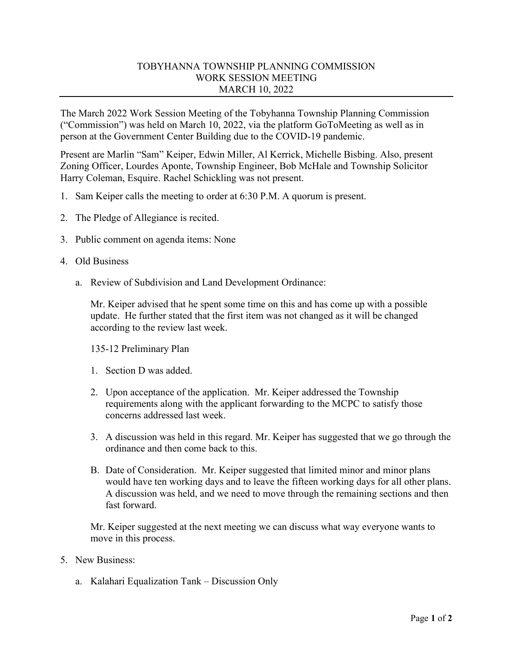## TOBYHANNA TOWNSHIP PLANNING COMMISSION WORK SESSION MEETING MARCH 10, 2022

The March 2022 Work Session Meeting of the Tobyhanna Township Planning Commission ("Commission") was held on March 10, 2022, via the platform GoToMeeting as well as in person at the Government Center Building due to the COVID-19 pandemic.

Present are Marlin "Sam" Keiper, Edwin Miller, Al Kerrick, Michelle Bisbing. Also, present Zoning Officer, Lourdes Aponte, Township Engineer, Bob McHale and Township Solicitor Harry Coleman, Esquire. Rachel Schickling was not present.

- 1. Sam Keiper calls the meeting to order at 6:30 P.M. A quorum is present.
- 2. The Pledge of Allegiance is recited.
- 3. Public comment on agenda items: None
- 4. Old Business
	- a. Review of Subdivision and Land Development Ordinance:

Mr. Keiper advised that he spent some time on this and has come up with a possible update. He further stated that the first item was not changed as it will be changed according to the review last week.

135-12 Preliminary Plan

- 1. Section D was added.
- 2. Upon acceptance of the application. Mr. Keiper addressed the Township requirements along with the applicant forwarding to the MCPC to satisfy those concerns addressed last week.
- 3. A discussion was held in this regard. Mr. Keiper has suggested that we go through the ordinance and then come back to this.
- B. Date of Consideration. Mr. Keiper suggested that limited minor and minor plans would have ten working days and to leave the fifteen working days for all other plans. A discussion was held, and we need to move through the remaining sections and then fast forward.

Mr. Keiper suggested at the next meeting we can discuss what way everyone wants to move in this process.

- 5. New Business:
	- a. Kalahari Equalization Tank Discussion Only